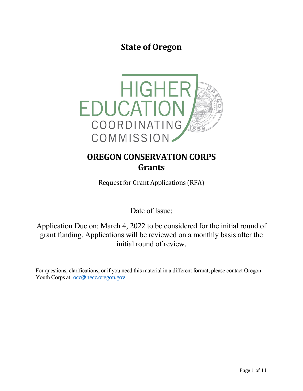**State of Oregon**



# **OREGON CONSERVATION CORPS Grants**

Request for Grant Applications (RFA)

Date of Issue:

Application Due on: March 4, 2022 to be considered for the initial round of grant funding. Applications will be reviewed on a monthly basis after the initial round of review.

For questions, clarifications, or if you need this material in a different format, please contact Oregon Youth Corps at: **[occ@hecc.oregon.gov](mailto:occ@hecc.oregon.gov)**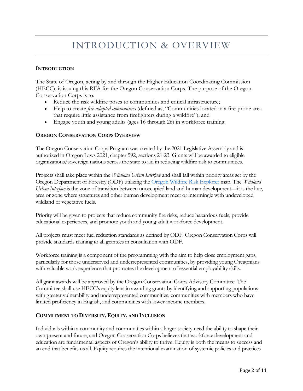# INTRODUCTION & OVERVIEW

#### **INTRODUCTION**

The State of Oregon, acting by and through the Higher Education Coordinating Commission (HECC), is issuing this RFA for the Oregon Conservation Corps. The purpose of the Oregon Conservation Corps is to:

- Reduce the risk wildfire poses to communities and critical infrastructure;
- Help to create *fire-adapted communities* (defined as, "Communities located in a fire-prone area that require little assistance from firefighters during a wildfire"); and
- Engage youth and young adults (ages 16 through 26) in workforce training.

#### **OREGON CONSERVATION CORPS OVERVIEW**

The Oregon Conservation Corps Program was created by the 2021 Legislative Assembly and is authorized in Oregon Laws 2021, chapter 592, sections 21-23. Grants will be awarded to eligible organizations/sovereign nations across the state to aid in reducing wildfire risk to communities.

Projects shall take place within the *Wildland Urban Interface* and shall fall within priority areas set by the Oregon Department of Forestry (ODF) utilizing the [Oregon Wildfire Risk Explorer](https://tools.oregonexplorer.info/oe_htmlviewer/index.html?viewer=wildfireplanning) map. The *Wildland Urban Interface* is the zone of transition between unoccupied land and human development—it is the line, area or zone where structures and other human development meet or intermingle with undeveloped wildland or vegetative fuels.

Priority will be given to projects that reduce community fire risks, reduce hazardous fuels, provide educational experiences, and promote youth and young adult workforce development.

All projects must meet fuel reduction standards as defined by ODF. Oregon Conservation Corps will provide standards training to all grantees in consultation with ODF.

Workforce training is a component of the programming with the aim to help close employment gaps, particularly for those underserved and underrepresented communities, by providing young Oregonians with valuable work experience that promotes the development of essential employability skills.

All grant awards will be approved by the Oregon Conservation Corps Advisory Committee. The Committee shall use HECC's equity lens in awarding grants by identifying and supporting populations with greater vulnerability and underrepresented communities, communities with members who have limited proficiency in English, and communities with lower-income members.

## **COMMITMENT TO DIVERSITY,EQUITY, AND INCLUSION**

Individuals within a community and communities within a larger society need the ability to shape their own present and future, and Oregon Conservation Corps believes that workforce development and education are fundamental aspects of Oregon's ability to thrive. Equity is both the means to success and an end that benefits us all. Equity requires the intentional examination of systemic policies and practices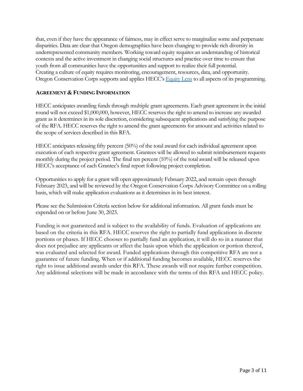that, even if they have the appearance of fairness, may in effect serve to marginalize some and perpetuate disparities. Data are clear that Oregon demographics have been changing to provide rich diversity in underrepresented community members. Working toward equity requires an understanding of historical contexts and the active investment in changing social structures and practice over time to ensure that youth from all communities have the opportunities and support to realize their full potential. Creating a culture of equity requires monitoring, encouragement, resources, data, and opportunity. Oregon Conservation Corps supports and applies HECC's [Equity Lens](https://www.oregon.gov/highered/about/Documents/State-Goals/Equity-Lens.pdf) to all aspects of its programming.

## **AGREEMENT & FUNDING INFORMATION**

HECC anticipates awarding funds through multiple grant agreements. Each grant agreement in the initial round will not exceed \$1,000,000, however, HECC reserves the right to amend to increase any awarded grant as it determines in its sole discretion, considering subsequent applications and satisfying the purpose of the RFA. HECC reserves the right to amend the grant agreements for amount and activities related to the scope of services described in this RFA.

HECC anticipates releasing fifty percent (50%) of the total award for each individual agreement upon execution of each respective grant agreement. Grantees will be allowed to submit reimbursement requests monthly during the project period. The final ten percent (10%) of the total award will be released upon HECC's acceptance of each Grantee's final report following project completion.

Opportunities to apply for a grant will open approximately February 2022, and remain open through February 2023, and will be reviewed by the Oregon Conservation Corps Advisory Committee on a rolling basis, which will make application evaluations as it determines in its best interest.

Please see the Submission Criteria section below for additional information. All grant funds must be expended on or before June 30, 2023.

Funding is not guaranteed and is subject to the availability of funds. Evaluation of applications are based on the criteria in this RFA. HECC reserves the right to partially fund applications in discrete portions or phases. If HECC chooses to partially fund an application, it will do so in a manner that does not prejudice any applicants or affect the basis upon which the application or portion thereof, was evaluated and selected for award. Funded applications through this competitive RFA are not a guarantee of future funding. When or if additional funding becomes available, HECC reserves the right to issue additional awards under this RFA. These awards will not require further competition. Any additional selections will be made in accordance with the terms of this RFA and HECC policy.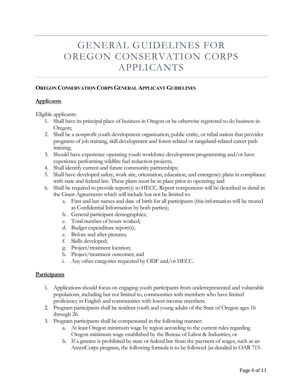# GENERAL GUIDELINES FOR OREGON CONSERVATION CORPS APPLICANTS

## **OREGON CONSERVATION CORPS GENERAL APPLICANT GUIDELINES**

#### **Applicants**

Eligible applicants:

- 1. Shall have its principal place of business in Oregon or be otherwise registered to do business in Oregon;
- 2. Shall be a nonprofit youth development organization, public entity, or tribal nation that provides programs of job training, skill development and forest-related or rangeland-related career path training;
- 3. Should have experience operating youth workforce development programming and/or have experience performing wildfire fuel reduction projects;
- 4. Shall identify current and future community partnerships;
- 5. Shall have developed safety, work site, orientation, education, and emergency plans in compliance with state and federal law. These plans must be in place prior to operating; and
- 6. Shall be required to provide report(s) to HECC. Report components will be described in detail in the Grant Agreements which will include but not be limited to:
	- a. First and last names and date of birth for all participants (this information will be treated as Confidential Information by both parties);
	- b. General participant demographics;
	- c. Total number of hours worked;
	- d. Budget expenditure report(s);
	- e. Before and after pictures;
	- f. Skills developed;
	- g. Project/treatment location;
	- h. Project/treatment outcomes; and
	- i. Any other categories requested by ODF and/or HECC.

#### **Participants**

- 1. Applications should focus on engaging youth participants from underrepresented and vulnerable populations, including but not limited to, communities with members who have limited proficiency in English and communities with lower-income members.
- 2. Program participants shall be resident youth and young adults of the State of Oregon ages 16 through 26.
- 3. Program participants shall be compensated in the following manner:
	- a. At least Oregon minimum wage by region according to the current rules regarding Oregon minimum wage established by the Bureau of Labor & Industries; or
	- b. If a grantee is prohibited by state or federal law from the payment of wages, such as an AmeriCorps program, the following formula is to be followed (as detailed in OAR 715-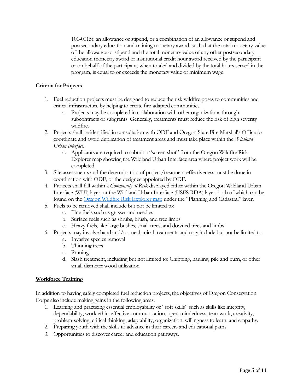101-0015): an allowance or stipend, or a combination of an allowance or stipend and postsecondary education and training monetary award, such that the total monetary value of the allowance or stipend and the total monetary value of any other postsecondary education monetary award or institutional credit hour award received by the participant or on behalf of the participant, when totaled and divided by the total hours served in the program, is equal to or exceeds the monetary value of minimum wage.

## **Criteria for Projects**

- 1. Fuel reduction projects must be designed to reduce the risk wildfire poses to communities and critical infrastructure by helping to create fire-adapted communities.
	- a. Projects may be completed in collaboration with other organizations through subcontracts or subgrants. Generally, treatments must reduce the risk of high severity wildfire.
- 2. Projects shall be identified in consultation with ODF and Oregon State Fire Marshal's Office to coordinate and avoid duplication of treatment areas and must take place within the *Wildland Urban Interface*.
	- a. Applicants are required to submit a "screen shot" from the Oregon Wildfire Risk Explorer map showing the Wildland Urban Interface area where project work will be completed.
- 3. Site assessments and the determination of project/treatment effectiveness must be done in coordination with ODF, or the designee appointed by ODF.
- 4. Projects shall fall within a *Community at Risk* displayed either within the Oregon Wildland Urban Interface (WUI) layer, or the Wildland Urban Interface (USFS RDA) layer, both of which can be found on th[e Oregon Wildfire Risk Explorer map](https://tools.oregonexplorer.info/oe_htmlviewer/index.html?viewer=wildfireplanning) under the "Planning and Cadastral" layer.
- 5. Fuels to be removed shall include but not be limited to:
	- a. Fine fuels such as grasses and needles
	- b. Surface fuels such as shrubs, brush, and tree limbs
	- c. Heavy fuels, like large bushes, small trees, and downed trees and limbs
- 6. Projects may involve hand and/or mechanical treatments and may include but not be limited to:
	- a. Invasive species removal
	- b. Thinning trees
	- c. Pruning
	- d. Slash treatment, including but not limited to: Chipping, hauling, pile and burn, or other small diameter wood utilization

## **Workforce Training**

In addition to having safely completed fuel reduction projects, the objectives of Oregon Conservation Corps also include making gains in the following areas:

- 1. Learning and practicing essential employability or "soft skills" such as skills like integrity, dependability, work ethic, effective communication, open-mindedness, teamwork, creativity, problem-solving, critical thinking, adaptability, organization, willingness to learn, and empathy.
- 2. Preparing youth with the skills to advance in their careers and educational paths.
- 3. Opportunities to discover career and education pathways.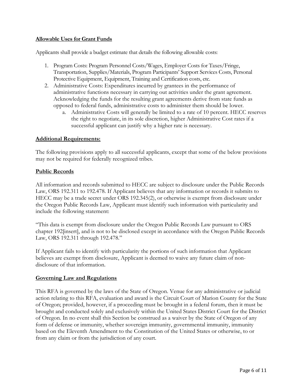## **Allowable Uses for Grant Funds**

Applicants shall provide a budget estimate that details the following allowable costs:

- 1. Program Costs: Program Personnel Costs/Wages, Employer Costs for Taxes/Fringe, Transportation, Supplies/Materials, Program Participants' Support Services Costs, Personal Protective Equipment, Equipment, Training and Certification costs, etc.
- 2. Administrative Costs: Expenditures incurred by grantees in the performance of administrative functions necessary in carrying out activities under the grant agreement. Acknowledging the funds for the resulting grant agreements derive from state funds as opposed to federal funds, administrative costs to administer them should be lower.
	- a. Administrative Costs will generally be limited to a rate of 10 percent. HECC reserves the right to negotiate, in its sole discretion, higher Administrative Cost rates if a successful applicant can justify why a higher rate is necessary.

#### **Additional Requirements:**

The following provisions apply to all successful applicants, except that some of the below provisions may not be required for federally recognized tribes.

#### **Public Records**

All information and records submitted to HECC are subject to disclosure under the Public Records Law, ORS 192.311 to 192.478. If Applicant believes that any information or records it submits to HECC may be a trade secret under ORS 192.345(2), or otherwise is exempt from disclosure under the Oregon Public Records Law, Applicant must identify such information with particularity and include the following statement:

"This data is exempt from disclosure under the Oregon Public Records Law pursuant to ORS chapter 192[insert], and is not to be disclosed except in accordance with the Oregon Public Records Law, ORS 192.311 through 192.478."

If Applicant fails to identify with particularity the portions of such information that Applicant believes are exempt from disclosure, Applicant is deemed to waive any future claim of nondisclosure of that information.

## **Governing Law and Regulations**

This RFA is governed by the laws of the State of Oregon. Venue for any administrative or judicial action relating to this RFA, evaluation and award is the Circuit Court of Marion County for the State of Oregon; provided, however, if a proceeding must be brought in a federal forum, then it must be brought and conducted solely and exclusively within the United States District Court for the District of Oregon. In no event shall this Section be construed as a waiver by the State of Oregon of any form of defense or immunity, whether sovereign immunity, governmental immunity, immunity based on the Eleventh Amendment to the Constitution of the United States or otherwise, to or from any claim or from the jurisdiction of any court.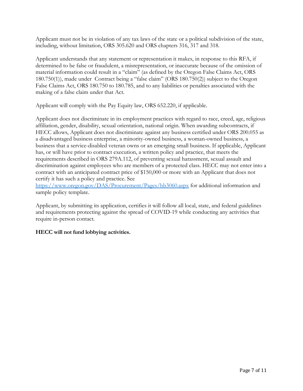Applicant must not be in violation of any tax laws of the state or a political subdivision of the state, including, without limitation, ORS 305.620 and ORS chapters 316, 317 and 318.

Applicant understands that any statement or representation it makes, in response to this RFA, if determined to be false or fraudulent, a misrepresentation, or inaccurate because of the omission of material information could result in a "claim" (as defined by the Oregon False Claims Act, ORS 180.750(1)), made under Contract being a "false claim" (ORS 180.750(2)) subject to the Oregon False Claims Act, ORS 180.750 to 180.785, and to any liabilities or penalties associated with the making of a false claim under that Act.

Applicant will comply with the Pay Equity law, ORS 652.220, if applicable.

Applicant does not discriminate in its employment practices with regard to race, creed, age, religious affiliation, gender, disability, sexual orientation, national origin. When awarding subcontracts, if HECC allows, Applicant does not discriminate against any business certified under ORS 200.055 as a disadvantaged business enterprise, a minority-owned business, a woman-owned business, a business that a service-disabled veteran owns or an emerging small business. If applicable, Applicant has, or will have prior to contract execution, a written policy and practice, that meets the requirements described in ORS 279A.112, of preventing sexual harassment, sexual assault and discrimination against employees who are members of a protected class. HECC may not enter into a contract with an anticipated contract price of \$150,000 or more with an Applicant that does not certify it has such a policy and practice. See

<https://www.oregon.gov/DAS/Procurement/Pages/hb3060.aspx> for additional information and sample policy template.

Applicant, by submitting its application, certifies it will follow all local, state, and federal guidelines and requirements protecting against the spread of COVID-19 while conducting any activities that require in-person contact.

# **HECC will not fund lobbying activities.**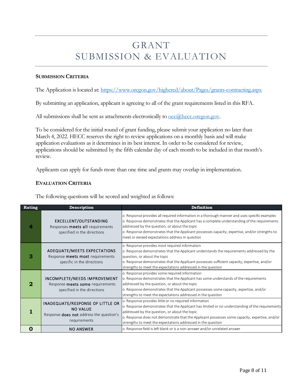# GRANT SUBMISSION & EVALUATION

#### **SUBMISSION CRITERIA**

The Application is located at:<https://www.oregon.gov/highered/about/Pages/grants-contracting.aspx>

By submitting an application, applicant is agreeing to all of the grant requirements listed in this RFA.

All submissions shall be sent as attachments electronically to  $\overline{occ(\mathscr{A})$ hecc.oregon.gov.

To be considered for the initial round of grant funding, please submit your application no later than March 4, 2022. HECC reserves the right to review applications on a monthly basis and will make application evaluations as it determines in its best interest. In order to be considered for review, applications should be submitted by the fifth calendar day of each month to be included in that month's review.

Applicants can apply for funds more than one time and grants may overlap in implementation.

#### **EVALUATION CRITERIA**

The following questions will be scored and weighted as follows:

| Rating   | Description                                                                                                                   | Definition                                                                                                                                                                                                                                                                                                                                                                                       |
|----------|-------------------------------------------------------------------------------------------------------------------------------|--------------------------------------------------------------------------------------------------------------------------------------------------------------------------------------------------------------------------------------------------------------------------------------------------------------------------------------------------------------------------------------------------|
|          | EXCELLENT/OUTSTANDING<br>Responses meets all requirements<br>specified in the directions                                      | o Response provides all required information in a thorough manner and uses specific examples<br>o Response demonstrates that the Applicant has a complete understanding of the requirements<br>addressed by the question, or about the topic<br>o Response demonstrates that the Applicant possesses capacity, expertise, and/or strengths to<br>meet or exceed expectations address in question |
| З        | ADEQUATE/MEETS EXPECTATIONS<br>Response meets most requirements<br>specific in the directions                                 | o Response provides most required information<br>o Response demonstrates that the Applicant understands the requirements addressed by the<br>question, or about the topic<br>o Response demonstrates that the Applicant possesses sufficient capacity, expertise, and/or<br>strengths to meet the expectations addressed in the question                                                         |
| $\bf{2}$ | INCOMPLETE/NEEDS IMPROVEMENT<br>Response meets some requirements<br>specified in the directions                               | o Response provides some required information<br>o Response demonstrates that the Applicant has some understands of the requirements<br>addressed by the question, or about the topic<br>o Response demonstrates that the Applicant possesses some capacity, expertise, and/or<br>strengths to meet the expectations addressed in the question                                                   |
|          | <b>INADEQUATE/RESPONSE OF LITTLE OR</b><br><b>NO VALUE</b><br>Response <b>does not</b> address the question's<br>requirements | o Response provides little or no required information<br>o Response demonstrates that the Applicant has limited or no understanding of the requirements<br>addressed by the question, or about the topic<br>o Response does not demonstrate that the Applicant possesses some capacity, expertise, and/or<br>strengths to meet the expectations addressed in the question                        |
| 0        | <b>NO ANSWER</b>                                                                                                              | o Response field is left blank or is a non-answer and/or unrelated answer                                                                                                                                                                                                                                                                                                                        |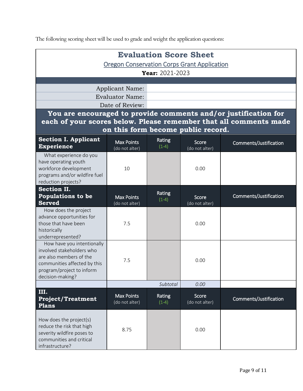The following scoring sheet will be used to grade and weight the application questions:

| <b>Evaluation Score Sheet</b>                                                                                                                                       |                                                  |                   |                                    |                        |  |  |  |
|---------------------------------------------------------------------------------------------------------------------------------------------------------------------|--------------------------------------------------|-------------------|------------------------------------|------------------------|--|--|--|
| <b>Oregon Conservation Corps Grant Application</b>                                                                                                                  |                                                  |                   |                                    |                        |  |  |  |
| Year: 2021-2023                                                                                                                                                     |                                                  |                   |                                    |                        |  |  |  |
|                                                                                                                                                                     |                                                  |                   |                                    |                        |  |  |  |
|                                                                                                                                                                     | <b>Applicant Name:</b><br><b>Evaluator Name:</b> |                   |                                    |                        |  |  |  |
|                                                                                                                                                                     | Date of Review:                                  |                   |                                    |                        |  |  |  |
| You are encouraged to provide comments and/or justification for                                                                                                     |                                                  |                   |                                    |                        |  |  |  |
| each of your scores below. Please remember that all comments made                                                                                                   |                                                  |                   |                                    |                        |  |  |  |
|                                                                                                                                                                     |                                                  |                   | on this form become public record. |                        |  |  |  |
| <b>Section I. Applicant</b><br><b>Experience</b>                                                                                                                    | <b>Max Points</b><br>(do not alter)              | Rating<br>$(1-4)$ | Score<br>(do not alter)            | Comments/Justification |  |  |  |
| What experience do you<br>have operating youth<br>workforce development<br>programs and/or wildfire fuel<br>reduction projects?                                     | 10                                               |                   | 0.00                               |                        |  |  |  |
| <b>Section II.</b><br><b>Populations to be</b><br><b>Served</b>                                                                                                     | <b>Max Points</b><br>(do not alter)              | Rating<br>$(1-4)$ | Score<br>(do not alter)            | Comments/Justification |  |  |  |
| How does the project<br>advance opportunities for<br>those that have been<br>historically<br>underrepresented?                                                      | 7.5                                              |                   | 0.00                               |                        |  |  |  |
| How have you intentionally<br>involved stakeholders who<br>are also members of the<br>communities affected by this<br>program/project to inform<br>decision-making? | 7.5                                              |                   | 0.00                               |                        |  |  |  |
|                                                                                                                                                                     |                                                  | Subtotal          | 0.00                               |                        |  |  |  |
| III.<br><b>Project/Treatment</b><br><b>Plans</b>                                                                                                                    | <b>Max Points</b><br>(do not alter)              | Rating<br>$(1-4)$ | Score<br>(do not alter)            | Comments/Justification |  |  |  |
| How does the project(s)<br>reduce the risk that high<br>severity wildfire poses to<br>communities and critical<br>infrastructure?                                   | 8.75                                             |                   | 0.00                               |                        |  |  |  |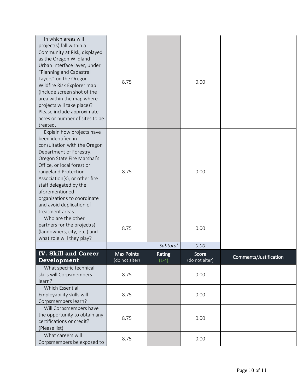| In which areas will<br>project(s) fall within a<br>Community at Risk, displayed<br>as the Oregon Wildland<br>Urban Interface layer, under<br>"Planning and Cadastral<br>Layers" on the Oregon<br>Wildfire Risk Explorer map<br>(Include screen shot of the<br>area within the map where<br>projects will take place)?<br>Please include approximate<br>acres or number of sites to be<br>treated. | 8.75                         |                   | 0.00                    |                        |
|---------------------------------------------------------------------------------------------------------------------------------------------------------------------------------------------------------------------------------------------------------------------------------------------------------------------------------------------------------------------------------------------------|------------------------------|-------------------|-------------------------|------------------------|
| Explain how projects have<br>been identified in<br>consultation with the Oregon<br>Department of Forestry,<br>Oregon State Fire Marshal's<br>Office, or local forest or<br>rangeland Protection<br>Association(s), or other fire<br>staff delegated by the<br>aforementioned<br>organizations to coordinate<br>and avoid duplication of<br>treatment areas.                                       | 8.75                         |                   | 0.00                    |                        |
| Who are the other<br>partners for the project(s)<br>(landowners, city, etc.) and<br>what role will they play?                                                                                                                                                                                                                                                                                     | 8.75                         |                   | 0.00                    |                        |
|                                                                                                                                                                                                                                                                                                                                                                                                   |                              | Subtotal          | 0.00                    |                        |
| <b>IV. Skill and Career</b><br>Development                                                                                                                                                                                                                                                                                                                                                        | Max Points<br>(do not alter) | Rating<br>$(1-4)$ | Score<br>(do not alter) | Comments/Justification |
| What specific technical<br>skills will Corpsmembers<br>learn?                                                                                                                                                                                                                                                                                                                                     | 8.75                         |                   | 0.00                    |                        |
| Which Essential<br>Employability skills will<br>Corpsmembers learn?                                                                                                                                                                                                                                                                                                                               | 8.75                         |                   | 0.00                    |                        |
| Will Corpsmembers have<br>the opportunity to obtain any<br>certifications or credit?<br>(Please list)                                                                                                                                                                                                                                                                                             | 8.75                         |                   | 0.00                    |                        |
| What careers will<br>Corpsmembers be exposed to                                                                                                                                                                                                                                                                                                                                                   | 8.75                         |                   | 0.00                    |                        |